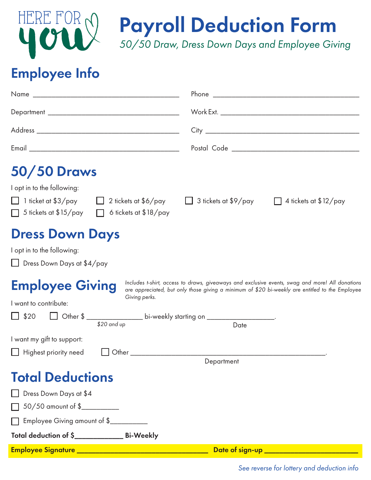

Payroll Deduction Form

*50/50 Draw, Dress Down Days and Employee Giving*

## Employee Info

| <b>50/50 Draws</b>                                                                                                                        |                                                                                                                                                                                                    |
|-------------------------------------------------------------------------------------------------------------------------------------------|----------------------------------------------------------------------------------------------------------------------------------------------------------------------------------------------------|
| I opt in to the following:<br>1 ticket at \$3/pay<br>2 tickets at $$6/pay$<br>$\Box$<br>5 tickets at $$15/pay$<br>6 tickets at $$18$ /pay | $\Box$ 3 tickets at \$9/pay<br>4 tickets at $$12$ /pay<br>$\perp$                                                                                                                                  |
| <b>Dress Down Days</b><br>I opt in to the following:<br>□ Dress Down Days at \$4/pay                                                      |                                                                                                                                                                                                    |
| <b>Employee Giving</b><br>Giving perks.<br>I want to contribute:                                                                          | Includes t-shirt, access to draws, giveaways and exclusive events, swag and more! All donations<br>are appreciated, but only those giving a minimum of \$20 bi-weekly are entitled to the Employee |
| □ Other \$ __________________ bi-weekly starting on _______________________<br>\$20<br>\$20 and up                                        | Date                                                                                                                                                                                               |
| I want my gift to support:<br>Highest priority need                                                                                       | Other than the contract of the contract of the contract of the contract of the contract of the contract of the                                                                                     |
|                                                                                                                                           | Department                                                                                                                                                                                         |
| <b>Total Deductions</b>                                                                                                                   |                                                                                                                                                                                                    |
| Dress Down Days at \$4                                                                                                                    |                                                                                                                                                                                                    |
| 50/50 amount of \$                                                                                                                        |                                                                                                                                                                                                    |
| Employee Giving amount of \$                                                                                                              |                                                                                                                                                                                                    |
| Total deduction of \$________________ Bi-Weekly                                                                                           |                                                                                                                                                                                                    |
|                                                                                                                                           | Date of sign-up __________________________                                                                                                                                                         |

*See reverse for lottery and deduction info*